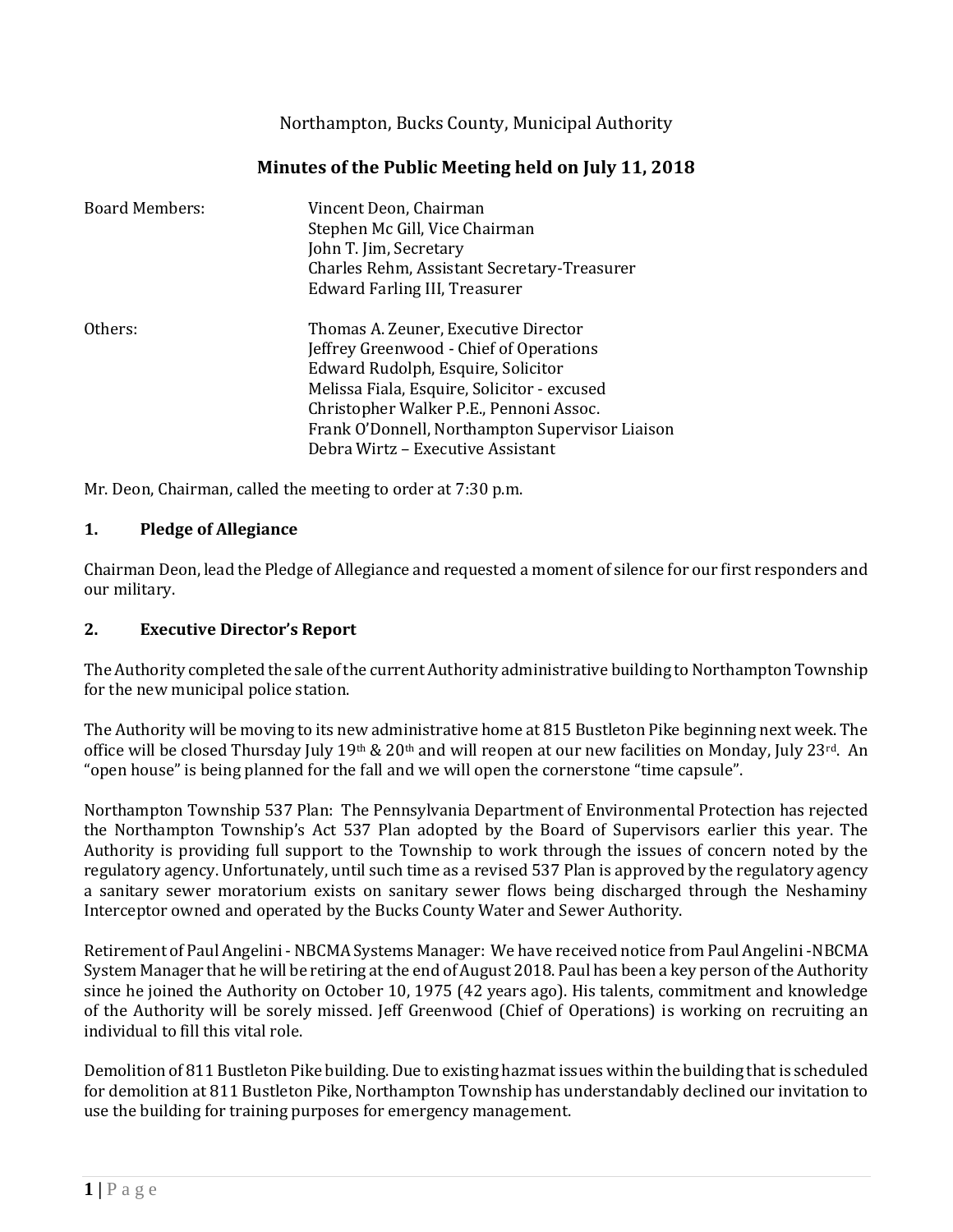Northampton, Bucks County, Municipal Authority

## **Minutes of the Public Meeting held on July 11, 2018**

| <b>Board Members:</b> | Vincent Deon, Chairman<br>Stephen Mc Gill, Vice Chairman<br>John T. Jim, Secretary<br>Charles Rehm, Assistant Secretary-Treasurer<br>Edward Farling III, Treasurer   |
|-----------------------|----------------------------------------------------------------------------------------------------------------------------------------------------------------------|
| Others:               | Thomas A. Zeuner, Executive Director<br>Jeffrey Greenwood - Chief of Operations<br>Edward Rudolph, Esquire, Solicitor<br>Melissa Fiala, Esquire, Solicitor - excused |
|                       | Christopher Walker P.E., Pennoni Assoc.<br>Frank O'Donnell, Northampton Supervisor Liaison<br>Debra Wirtz – Executive Assistant                                      |

Mr. Deon, Chairman, called the meeting to order at 7:30 p.m.

#### **1. Pledge of Allegiance**

Chairman Deon, lead the Pledge of Allegiance and requested a moment of silence for our first responders and our military.

### **2. Executive Director's Report**

The Authority completed the sale of the current Authority administrative building to Northampton Township for the new municipal police station.

The Authority will be moving to its new administrative home at 815 Bustleton Pike beginning next week. The office will be closed Thursday July 19th & 20th and will reopen at our new facilities on Monday, July 23rd. An "open house" is being planned for the fall and we will open the cornerstone "time capsule".

Northampton Township 537 Plan: The Pennsylvania Department of Environmental Protection has rejected the Northampton Township's Act 537 Plan adopted by the Board of Supervisors earlier this year. The Authority is providing full support to the Township to work through the issues of concern noted by the regulatory agency. Unfortunately, until such time as a revised 537 Plan is approved by the regulatory agency a sanitary sewer moratorium exists on sanitary sewer flows being discharged through the Neshaminy Interceptor owned and operated by the Bucks County Water and Sewer Authority.

Retirement of Paul Angelini -NBCMA Systems Manager: We have received notice from Paul Angelini -NBCMA System Manager that he will be retiring at the end of August 2018. Paul has been a key person of the Authority since he joined the Authority on October 10, 1975 (42 years ago). His talents, commitment and knowledge of the Authority will be sorely missed. Jeff Greenwood (Chief of Operations) is working on recruiting an individual to fill this vital role.

Demolition of 811 Bustleton Pike building. Due to existing hazmat issues within the building that is scheduled for demolition at 811 Bustleton Pike, Northampton Township has understandably declined our invitation to use the building for training purposes for emergency management.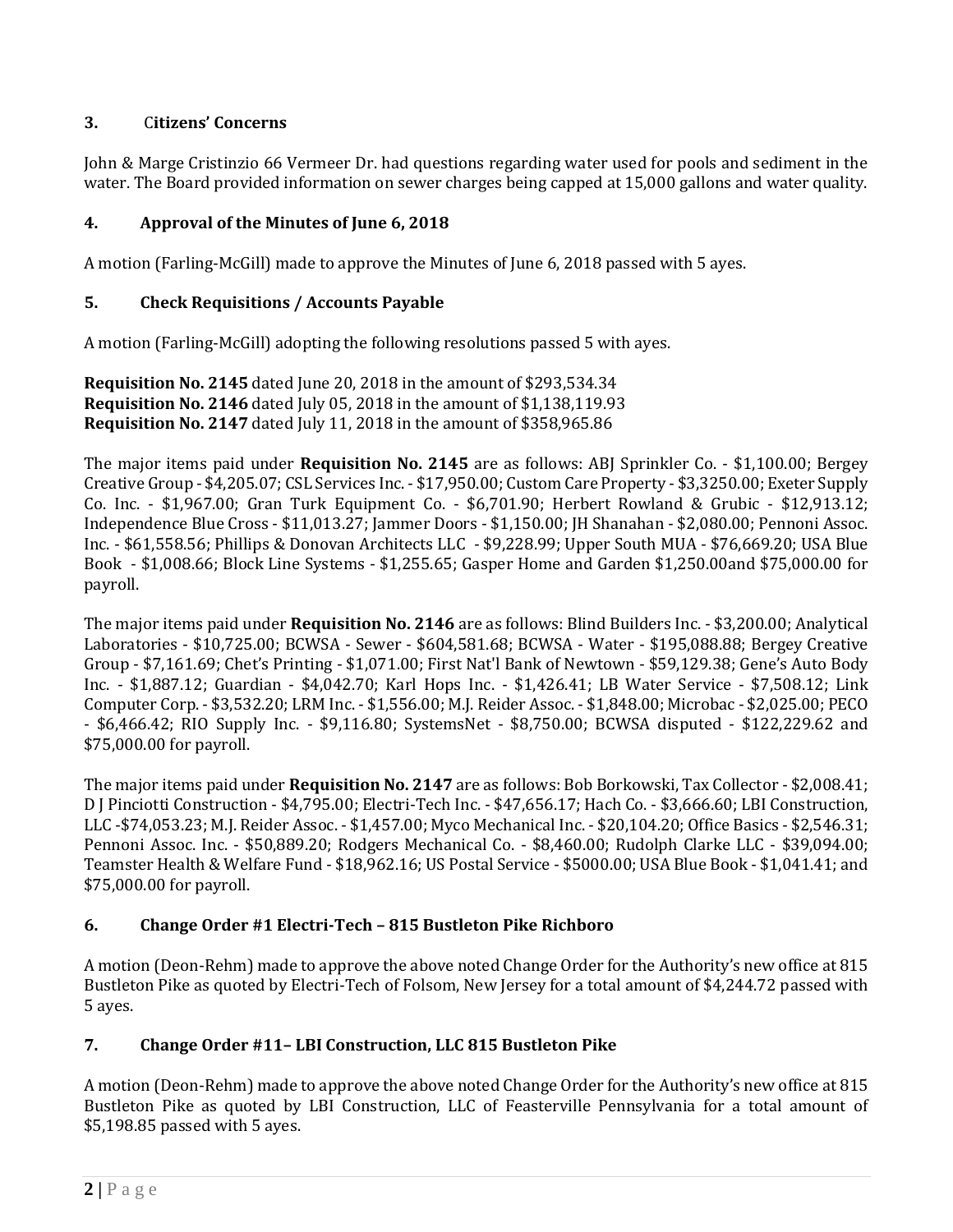## **3.** C**itizens' Concerns**

John & Marge Cristinzio 66 Vermeer Dr. had questions regarding water used for pools and sediment in the water. The Board provided information on sewer charges being capped at 15,000 gallons and water quality.

## **4. Approval of the Minutes of June 6, 2018**

A motion (Farling-McGill) made to approve the Minutes of June 6, 2018 passed with 5 ayes.

### **5. Check Requisitions / Accounts Payable**

A motion (Farling-McGill) adopting the following resolutions passed 5 with ayes.

**Requisition No. 2145** dated June 20, 2018 in the amount of \$293,534.34 **Requisition No. 2146** dated July 05, 2018 in the amount of \$1,138,119.93 **Requisition No. 2147** dated July 11, 2018 in the amount of \$358,965.86

The major items paid under **Requisition No. 2145** are as follows: ABJ Sprinkler Co. - \$1,100.00; Bergey Creative Group - \$4,205.07; CSL Services Inc. - \$17,950.00; Custom Care Property - \$3,3250.00; Exeter Supply Co. Inc. - \$1,967.00; Gran Turk Equipment Co. - \$6,701.90; Herbert Rowland & Grubic - \$12,913.12; Independence Blue Cross - \$11,013.27; Jammer Doors - \$1,150.00; JH Shanahan - \$2,080.00; Pennoni Assoc. Inc. - \$61,558.56; Phillips & Donovan Architects LLC - \$9,228.99; Upper South MUA - \$76,669.20; USA Blue Book - \$1,008.66; Block Line Systems - \$1,255.65; Gasper Home and Garden \$1,250.00and \$75,000.00 for payroll.

The major items paid under **Requisition No. 2146** are as follows: Blind Builders Inc. - \$3,200.00; Analytical Laboratories - \$10,725.00; BCWSA - Sewer - \$604,581.68; BCWSA - Water - \$195,088.88; Bergey Creative Group - \$7,161.69; Chet's Printing - \$1,071.00; First Nat'l Bank of Newtown - \$59,129.38; Gene's Auto Body Inc. - \$1,887.12; Guardian - \$4,042.70; Karl Hops Inc. - \$1,426.41; LB Water Service - \$7,508.12; Link Computer Corp. - \$3,532.20; LRM Inc. - \$1,556.00; M.J. Reider Assoc. - \$1,848.00; Microbac - \$2,025.00; PECO - \$6,466.42; RIO Supply Inc. - \$9,116.80; SystemsNet - \$8,750.00; BCWSA disputed - \$122,229.62 and \$75,000.00 for payroll.

The major items paid under **Requisition No. 2147** are as follows: Bob Borkowski, Tax Collector - \$2,008.41; D J Pinciotti Construction - \$4,795.00; Electri-Tech Inc. - \$47,656.17; Hach Co. - \$3,666.60; LBI Construction, LLC -\$74,053.23; M.J. Reider Assoc. - \$1,457.00; Myco Mechanical Inc. - \$20,104.20; Office Basics - \$2,546.31; Pennoni Assoc. Inc. - \$50,889.20; Rodgers Mechanical Co. - \$8,460.00; Rudolph Clarke LLC - \$39,094.00; Teamster Health & Welfare Fund - \$18,962.16; US Postal Service - \$5000.00; USA Blue Book - \$1,041.41; and \$75,000.00 for payroll.

### **6. Change Order #1 Electri-Tech – 815 Bustleton Pike Richboro**

A motion (Deon-Rehm) made to approve the above noted Change Order for the Authority's new office at 815 Bustleton Pike as quoted by Electri-Tech of Folsom, New Jersey for a total amount of \$4,244.72 passed with 5 ayes.

### **7. Change Order #11– LBI Construction, LLC 815 Bustleton Pike**

A motion (Deon-Rehm) made to approve the above noted Change Order for the Authority's new office at 815 Bustleton Pike as quoted by LBI Construction, LLC of Feasterville Pennsylvania for a total amount of \$5,198.85 passed with 5 ayes.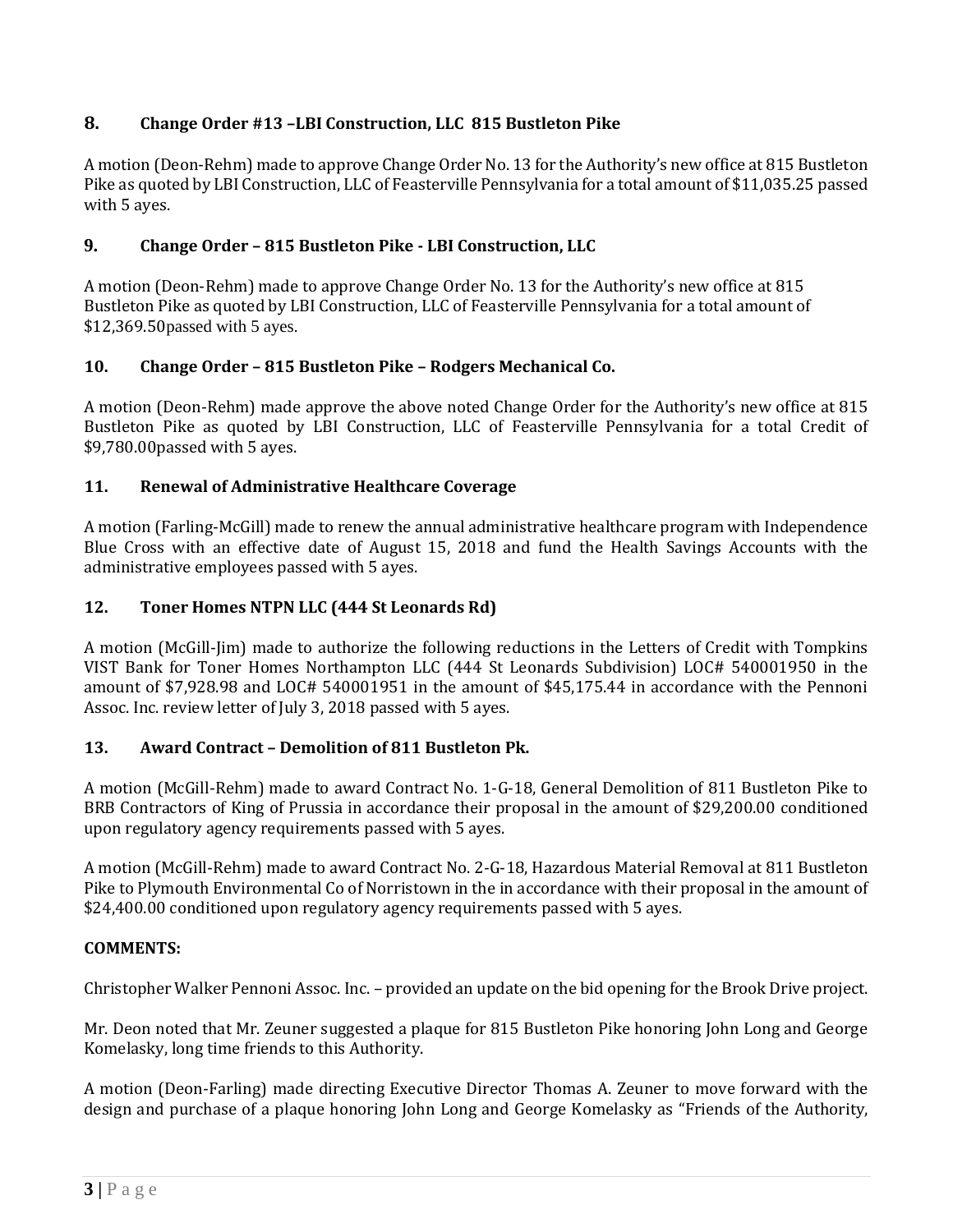# **8. Change Order #13 –LBI Construction, LLC 815 Bustleton Pike**

A motion (Deon-Rehm) made to approve Change Order No. 13 for the Authority's new office at 815 Bustleton Pike as quoted by LBI Construction, LLC of Feasterville Pennsylvania for a total amount of \$11,035.25 passed with 5 ayes.

## **9. Change Order – 815 Bustleton Pike - LBI Construction, LLC**

A motion (Deon-Rehm) made to approve Change Order No. 13 for the Authority's new office at 815 Bustleton Pike as quoted by LBI Construction, LLC of Feasterville Pennsylvania for a total amount of \$12,369.50passed with 5 ayes.

### **10. Change Order – 815 Bustleton Pike – Rodgers Mechanical Co.**

A motion (Deon-Rehm) made approve the above noted Change Order for the Authority's new office at 815 Bustleton Pike as quoted by LBI Construction, LLC of Feasterville Pennsylvania for a total Credit of \$9,780.00passed with 5 ayes.

## **11. Renewal of Administrative Healthcare Coverage**

A motion (Farling-McGill) made to renew the annual administrative healthcare program with Independence Blue Cross with an effective date of August 15, 2018 and fund the Health Savings Accounts with the administrative employees passed with 5 ayes.

## **12. Toner Homes NTPN LLC (444 St Leonards Rd)**

A motion (McGill-Jim) made to authorize the following reductions in the Letters of Credit with Tompkins VIST Bank for Toner Homes Northampton LLC (444 St Leonards Subdivision) LOC# 540001950 in the amount of \$7,928.98 and LOC# 540001951 in the amount of \$45,175.44 in accordance with the Pennoni Assoc. Inc. review letter of July 3, 2018 passed with 5 ayes.

## **13. Award Contract – Demolition of 811 Bustleton Pk.**

A motion (McGill-Rehm) made to award Contract No. 1-G-18, General Demolition of 811 Bustleton Pike to BRB Contractors of King of Prussia in accordance their proposal in the amount of \$29,200.00 conditioned upon regulatory agency requirements passed with 5 ayes.

A motion (McGill-Rehm) made to award Contract No. 2-G-18, Hazardous Material Removal at 811 Bustleton Pike to Plymouth Environmental Co of Norristown in the in accordance with their proposal in the amount of \$24,400.00 conditioned upon regulatory agency requirements passed with 5 ayes.

### **COMMENTS:**

Christopher Walker Pennoni Assoc. Inc. – provided an update on the bid opening for the Brook Drive project.

Mr. Deon noted that Mr. Zeuner suggested a plaque for 815 Bustleton Pike honoring John Long and George Komelasky, long time friends to this Authority.

A motion (Deon-Farling) made directing Executive Director Thomas A. Zeuner to move forward with the design and purchase of a plaque honoring John Long and George Komelasky as "Friends of the Authority,